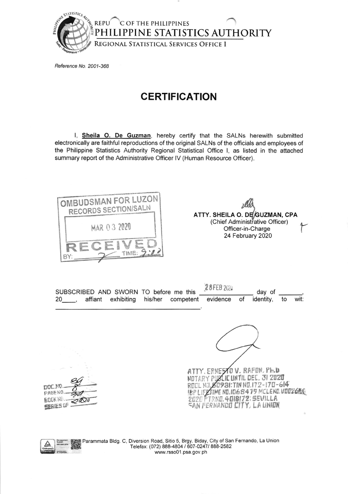

Reference No. 2001-368

## **CERTIFICATION**

I, Sheila O. De Guzman, hereby certify that the SALNs herewith submitted electronically are faithful reproductions of the original SALNs of the officials and employees of the Philippine Statistics Authority Regional Statistical Office I, as listed in the attached summary report of the Administrative Officer IV (Human Resource Officer).



ATTY. SHEILA O. DE GUZMAN, CPA (Chief Administrative Officer) Officer-in-Charge 24 February 2020

28 FEB 2020 SUBSCRIBED AND SWORN TO before me this day of identity, wit: 20 , affiant exhibiting his/her competent of to evidence



ATTY. ERNESTO V. RAFON, Ph.D NOTARY PUBLIC UNTIL DEC. 31 2020 ROOL NO. 50931: TIN NO. 172-170-614 **18P LIFETIME NO.1068419 MCLEND.VOO2608** 





Parammata Bldg. C, Diversion Road, Sitio 5, Brgy. Biday, City of San Fernando, La Union Telefax: (072) 888-4804 / 607-0247/ 888-2582 www.rsso01.psa.gov.ph